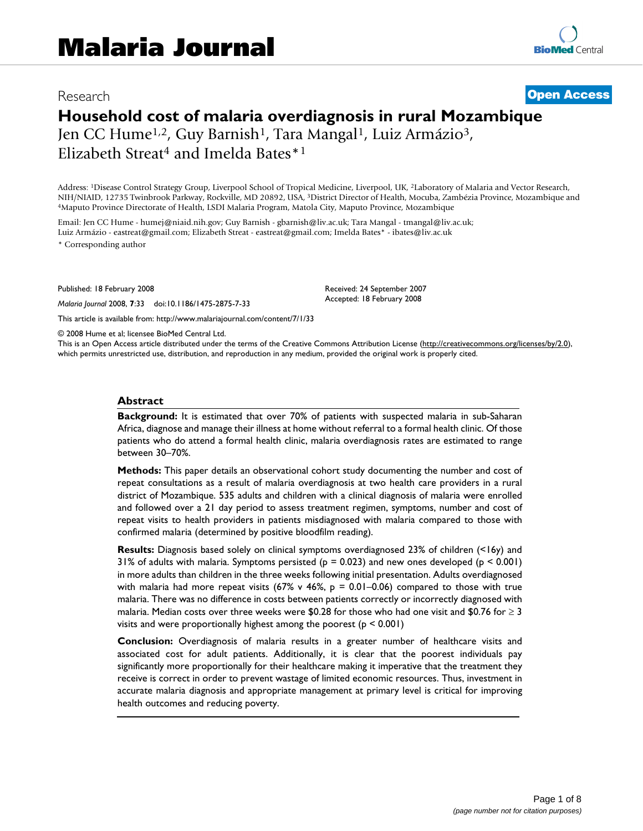# Research **[Open Access](http://www.biomedcentral.com/info/about/charter/)**

# **Household cost of malaria overdiagnosis in rural Mozambique** Jen CC Hume<sup>1,2</sup>, Guy Barnish<sup>1</sup>, Tara Mangal<sup>1</sup>, Luiz Armázio<sup>3</sup>,

Elizabeth Streat4 and Imelda Bates\*1

Address: 1Disease Control Strategy Group, Liverpool School of Tropical Medicine, Liverpool, UK, 2Laboratory of Malaria and Vector Research, NIH/NIAID, 12735 Twinbrook Parkway, Rockville, MD 20892, USA, <sup>3</sup>District Director of Health, Mocuba, Zambézia Province, Mozambique and 4Maputo Province Directorate of Health, LSDI Malaria Program, Matola City, Maputo Prov

Email: Jen CC Hume - humej@niaid.nih.gov; Guy Barnish - gbarnish@liv.ac.uk; Tara Mangal - tmangal@liv.ac.uk; Luiz Armázio - eastreat@gmail.com; Elizabeth Streat - eastreat@gmail.com; Imelda Bates\* - ibates@liv.ac.uk

\* Corresponding author

Published: 18 February 2008

*Malaria Journal* 2008, **7**:33 doi:10.1186/1475-2875-7-33

[This article is available from: http://www.malariajournal.com/content/7/1/33](http://www.malariajournal.com/content/7/1/33)

Received: 24 September 2007 Accepted: 18 February 2008

© 2008 Hume et al; licensee BioMed Central Ltd.

This is an Open Access article distributed under the terms of the Creative Commons Attribution License [\(http://creativecommons.org/licenses/by/2.0\)](http://creativecommons.org/licenses/by/2.0), which permits unrestricted use, distribution, and reproduction in any medium, provided the original work is properly cited.

#### **Abstract**

**Background:** It is estimated that over 70% of patients with suspected malaria in sub-Saharan Africa, diagnose and manage their illness at home without referral to a formal health clinic. Of those patients who do attend a formal health clinic, malaria overdiagnosis rates are estimated to range between 30–70%.

**Methods:** This paper details an observational cohort study documenting the number and cost of repeat consultations as a result of malaria overdiagnosis at two health care providers in a rural district of Mozambique. 535 adults and children with a clinical diagnosis of malaria were enrolled and followed over a 21 day period to assess treatment regimen, symptoms, number and cost of repeat visits to health providers in patients misdiagnosed with malaria compared to those with confirmed malaria (determined by positive bloodfilm reading).

**Results:** Diagnosis based solely on clinical symptoms overdiagnosed 23% of children (<16y) and 31% of adults with malaria. Symptoms persisted ( $p = 0.023$ ) and new ones developed ( $p \le 0.001$ ) in more adults than children in the three weeks following initial presentation. Adults overdiagnosed with malaria had more repeat visits (67% v 46%,  $p = 0.01-0.06$ ) compared to those with true malaria. There was no difference in costs between patients correctly or incorrectly diagnosed with malaria. Median costs over three weeks were \$0.28 for those who had one visit and \$0.76 for  $\geq$  3 visits and were proportionally highest among the poorest (p < 0.001)

**Conclusion:** Overdiagnosis of malaria results in a greater number of healthcare visits and associated cost for adult patients. Additionally, it is clear that the poorest individuals pay significantly more proportionally for their healthcare making it imperative that the treatment they receive is correct in order to prevent wastage of limited economic resources. Thus, investment in accurate malaria diagnosis and appropriate management at primary level is critical for improving health outcomes and reducing poverty.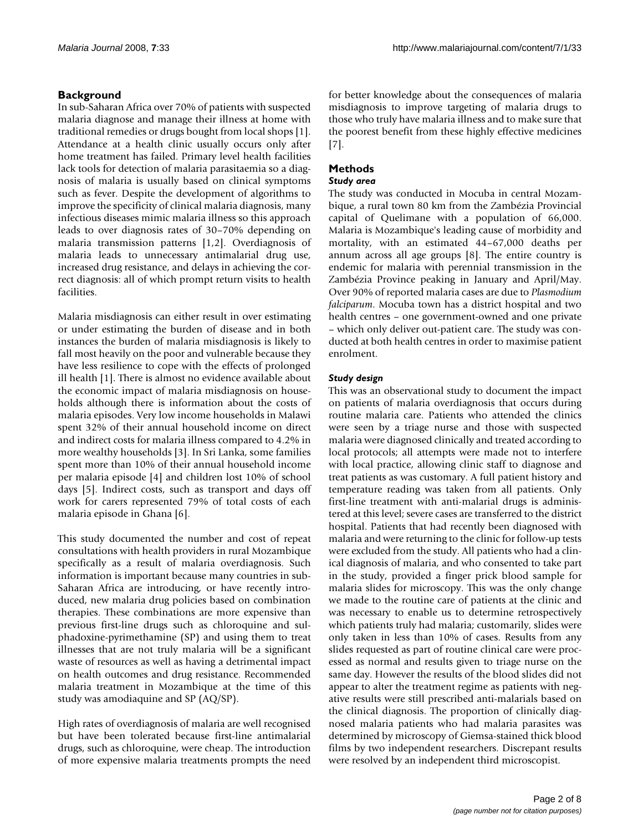#### **Background**

In sub-Saharan Africa over 70% of patients with suspected malaria diagnose and manage their illness at home with traditional remedies or drugs bought from local shops [1]. Attendance at a health clinic usually occurs only after home treatment has failed. Primary level health facilities lack tools for detection of malaria parasitaemia so a diagnosis of malaria is usually based on clinical symptoms such as fever. Despite the development of algorithms to improve the specificity of clinical malaria diagnosis, many infectious diseases mimic malaria illness so this approach leads to over diagnosis rates of 30–70% depending on malaria transmission patterns [1,2]. Overdiagnosis of malaria leads to unnecessary antimalarial drug use, increased drug resistance, and delays in achieving the correct diagnosis: all of which prompt return visits to health facilities.

Malaria misdiagnosis can either result in over estimating or under estimating the burden of disease and in both instances the burden of malaria misdiagnosis is likely to fall most heavily on the poor and vulnerable because they have less resilience to cope with the effects of prolonged ill health [1]. There is almost no evidence available about the economic impact of malaria misdiagnosis on households although there is information about the costs of malaria episodes. Very low income households in Malawi spent 32% of their annual household income on direct and indirect costs for malaria illness compared to 4.2% in more wealthy households [3]. In Sri Lanka, some families spent more than 10% of their annual household income per malaria episode [4] and children lost 10% of school days [5]. Indirect costs, such as transport and days off work for carers represented 79% of total costs of each malaria episode in Ghana [6].

This study documented the number and cost of repeat consultations with health providers in rural Mozambique specifically as a result of malaria overdiagnosis. Such information is important because many countries in sub-Saharan Africa are introducing, or have recently introduced, new malaria drug policies based on combination therapies. These combinations are more expensive than previous first-line drugs such as chloroquine and sulphadoxine-pyrimethamine (SP) and using them to treat illnesses that are not truly malaria will be a significant waste of resources as well as having a detrimental impact on health outcomes and drug resistance. Recommended malaria treatment in Mozambique at the time of this study was amodiaquine and SP (AQ/SP).

High rates of overdiagnosis of malaria are well recognised but have been tolerated because first-line antimalarial drugs, such as chloroquine, were cheap. The introduction of more expensive malaria treatments prompts the need

for better knowledge about the consequences of malaria misdiagnosis to improve targeting of malaria drugs to those who truly have malaria illness and to make sure that the poorest benefit from these highly effective medicines [7].

## **Methods**

#### *Study area*

The study was conducted in Mocuba in central Mozambique, a rural town 80 km from the Zambézia Provincial capital of Quelimane with a population of 66,000. Malaria is Mozambique's leading cause of morbidity and mortality, with an estimated 44–67,000 deaths per annum across all age groups [8]. The entire country is endemic for malaria with perennial transmission in the Zambézia Province peaking in January and April/May. Over 90% of reported malaria cases are due to *Plasmodium falciparum*. Mocuba town has a district hospital and two health centres – one government-owned and one private – which only deliver out-patient care. The study was conducted at both health centres in order to maximise patient enrolment.

#### *Study design*

This was an observational study to document the impact on patients of malaria overdiagnosis that occurs during routine malaria care. Patients who attended the clinics were seen by a triage nurse and those with suspected malaria were diagnosed clinically and treated according to local protocols; all attempts were made not to interfere with local practice, allowing clinic staff to diagnose and treat patients as was customary. A full patient history and temperature reading was taken from all patients. Only first-line treatment with anti-malarial drugs is administered at this level; severe cases are transferred to the district hospital. Patients that had recently been diagnosed with malaria and were returning to the clinic for follow-up tests were excluded from the study. All patients who had a clinical diagnosis of malaria, and who consented to take part in the study, provided a finger prick blood sample for malaria slides for microscopy. This was the only change we made to the routine care of patients at the clinic and was necessary to enable us to determine retrospectively which patients truly had malaria; customarily, slides were only taken in less than 10% of cases. Results from any slides requested as part of routine clinical care were processed as normal and results given to triage nurse on the same day. However the results of the blood slides did not appear to alter the treatment regime as patients with negative results were still prescribed anti-malarials based on the clinical diagnosis. The proportion of clinically diagnosed malaria patients who had malaria parasites was determined by microscopy of Giemsa-stained thick blood films by two independent researchers. Discrepant results were resolved by an independent third microscopist.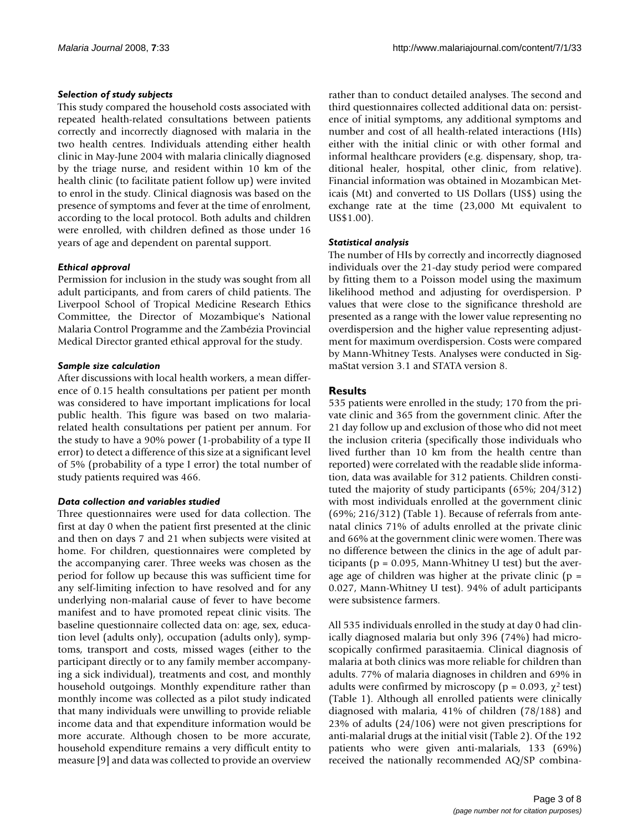#### *Selection of study subjects*

This study compared the household costs associated with repeated health-related consultations between patients correctly and incorrectly diagnosed with malaria in the two health centres. Individuals attending either health clinic in May-June 2004 with malaria clinically diagnosed by the triage nurse, and resident within 10 km of the health clinic (to facilitate patient follow up) were invited to enrol in the study. Clinical diagnosis was based on the presence of symptoms and fever at the time of enrolment, according to the local protocol. Both adults and children were enrolled, with children defined as those under 16 years of age and dependent on parental support.

#### *Ethical approval*

Permission for inclusion in the study was sought from all adult participants, and from carers of child patients. The Liverpool School of Tropical Medicine Research Ethics Committee, the Director of Mozambique's National Malaria Control Programme and the Zambézia Provincial Medical Director granted ethical approval for the study.

#### *Sample size calculation*

After discussions with local health workers, a mean difference of 0.15 health consultations per patient per month was considered to have important implications for local public health. This figure was based on two malariarelated health consultations per patient per annum. For the study to have a 90% power (1-probability of a type II error) to detect a difference of this size at a significant level of 5% (probability of a type I error) the total number of study patients required was 466.

#### *Data collection and variables studied*

Three questionnaires were used for data collection. The first at day 0 when the patient first presented at the clinic and then on days 7 and 21 when subjects were visited at home. For children, questionnaires were completed by the accompanying carer. Three weeks was chosen as the period for follow up because this was sufficient time for any self-limiting infection to have resolved and for any underlying non-malarial cause of fever to have become manifest and to have promoted repeat clinic visits. The baseline questionnaire collected data on: age, sex, education level (adults only), occupation (adults only), symptoms, transport and costs, missed wages (either to the participant directly or to any family member accompanying a sick individual), treatments and cost, and monthly household outgoings. Monthly expenditure rather than monthly income was collected as a pilot study indicated that many individuals were unwilling to provide reliable income data and that expenditure information would be more accurate. Although chosen to be more accurate, household expenditure remains a very difficult entity to measure [9] and data was collected to provide an overview

rather than to conduct detailed analyses. The second and third questionnaires collected additional data on: persistence of initial symptoms, any additional symptoms and number and cost of all health-related interactions (HIs) either with the initial clinic or with other formal and informal healthcare providers (e.g. dispensary, shop, traditional healer, hospital, other clinic, from relative). Financial information was obtained in Mozambican Meticais (Mt) and converted to US Dollars (US\$) using the exchange rate at the time (23,000 Mt equivalent to US\$1.00).

#### *Statistical analysis*

The number of HIs by correctly and incorrectly diagnosed individuals over the 21-day study period were compared by fitting them to a Poisson model using the maximum likelihood method and adjusting for overdispersion. P values that were close to the significance threshold are presented as a range with the lower value representing no overdispersion and the higher value representing adjustment for maximum overdispersion. Costs were compared by Mann-Whitney Tests. Analyses were conducted in SigmaStat version 3.1 and STATA version 8.

#### **Results**

535 patients were enrolled in the study; 170 from the private clinic and 365 from the government clinic. After the 21 day follow up and exclusion of those who did not meet the inclusion criteria (specifically those individuals who lived further than 10 km from the health centre than reported) were correlated with the readable slide information, data was available for 312 patients. Children constituted the majority of study participants (65%; 204/312) with most individuals enrolled at the government clinic (69%; 216/312) (Table 1). Because of referrals from antenatal clinics 71% of adults enrolled at the private clinic and 66% at the government clinic were women. There was no difference between the clinics in the age of adult participants ( $p = 0.095$ , Mann-Whitney U test) but the average age of children was higher at the private clinic ( $p =$ 0.027, Mann-Whitney U test). 94% of adult participants were subsistence farmers.

All 535 individuals enrolled in the study at day 0 had clinically diagnosed malaria but only 396 (74%) had microscopically confirmed parasitaemia. Clinical diagnosis of malaria at both clinics was more reliable for children than adults. 77% of malaria diagnoses in children and 69% in adults were confirmed by microscopy (p = 0.093,  $\chi^2$  test) (Table 1). Although all enrolled patients were clinically diagnosed with malaria, 41% of children (78/188) and 23% of adults (24/106) were not given prescriptions for anti-malarial drugs at the initial visit (Table 2). Of the 192 patients who were given anti-malarials, 133 (69%) received the nationally recommended AQ/SP combina-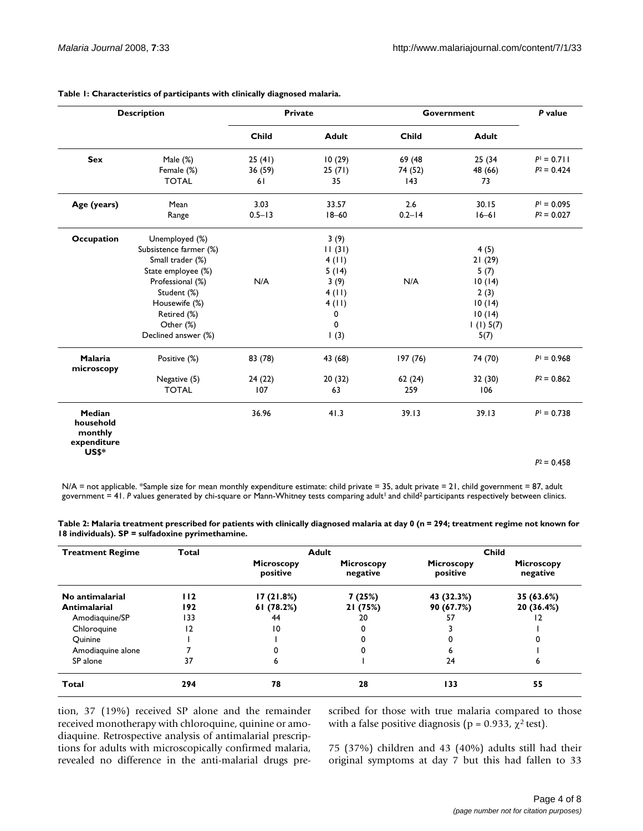| <b>Description</b>                            |                        | <b>Private</b> |              | Government   |              | P value       |
|-----------------------------------------------|------------------------|----------------|--------------|--------------|--------------|---------------|
|                                               |                        | <b>Child</b>   | <b>Adult</b> | <b>Child</b> | <b>Adult</b> |               |
| <b>Sex</b>                                    | Male (%)               | 25(41)         | 10(29)       | 69 (48       | 25 (34       | $PT = 0.711$  |
|                                               | Female (%)             | 36 (59)        | 25(71)       | 74 (52)      | 48 (66)      | $P^2 = 0.424$ |
|                                               | <b>TOTAL</b>           | 61             | 35           | 143          | 73           |               |
| Age (years)                                   | Mean                   | 3.03           | 33.57        | 2.6          | 30.15        | $P = 0.095$   |
|                                               | Range                  | $0.5 - 13$     | $18 - 60$    | $0.2 - 14$   | $16 - 61$    | $P^2 = 0.027$ |
| <b>Occupation</b>                             | Unemployed (%)         |                | 3(9)         |              |              |               |
|                                               | Subsistence farmer (%) |                | 11(31)       |              | 4(5)         |               |
|                                               | Small trader (%)       |                | 4(11)        |              | 21(29)       |               |
|                                               | State employee (%)     |                | 5(14)        |              | 5(7)         |               |
|                                               | Professional (%)       | N/A            | 3(9)         | N/A          | 10(14)       |               |
|                                               | Student (%)            |                | 4(11)        |              | 2(3)         |               |
|                                               | Housewife (%)          |                | 4(11)        |              | 10(14)       |               |
|                                               | Retired (%)            |                | 0            |              | 10(14)       |               |
|                                               | Other (%)              |                | 0            |              | 1(1) 5(7)    |               |
|                                               | Declined answer (%)    |                | 1(3)         |              | 5(7)         |               |
| <b>Malaria</b><br>microscopy                  | Positive (%)           | 83 (78)        | 43 (68)      | 197(76)      | 74 (70)      | $P = 0.968$   |
|                                               | Negative (5)           | 24(22)         | 20(32)       | 62(24)       | 32(30)       | $P^2 = 0.862$ |
|                                               | <b>TOTAL</b>           | 107            | 63           | 259          | 106          |               |
| Median<br>household<br>monthly<br>expenditure |                        | 36.96          | 41.3         | 39.13        | 39.13        | $P = 0.738$   |
| <b>US\$*</b>                                  |                        |                |              |              |              | $P^2 = 0.458$ |

**Table 1: Characteristics of participants with clinically diagnosed malaria.**

N/A = not applicable. \*Sample size for mean monthly expenditure estimate: child private = 35, adult private = 21, child government = 87, adult government = 41. P values generated by chi-square or Mann-Whitney tests comparing adult<sup>1</sup> and child<sup>2</sup> participants respectively between clinics.

| Table 2: Malaria treatment prescribed for patients with clinically diagnosed malaria at day 0 (n = 294; treatment regime not known for |  |
|----------------------------------------------------------------------------------------------------------------------------------------|--|
| $18$ individuals). SP = sulfadoxine pyrimethamine.                                                                                     |  |

| <b>Treatment Regime</b> | <b>Total</b> |                               | Adult                         | <b>Child</b>                  |                               |  |
|-------------------------|--------------|-------------------------------|-------------------------------|-------------------------------|-------------------------------|--|
|                         |              | <b>Microscopy</b><br>positive | <b>Microscopy</b><br>negative | <b>Microscopy</b><br>positive | <b>Microscopy</b><br>negative |  |
| No antimalarial         | 112          | 17(21.8%)                     | 7(25%)                        | 43 (32.3%)                    | 35 (63.6%)                    |  |
| Antimalarial            | 192          | 61(78.2%)                     | 21 (75%)                      | 90 (67.7%)                    | 20 (36.4%)                    |  |
| Amodiaguine/SP          | 133          | 44                            | 20                            | 57                            | 12                            |  |
| Chloroquine             | 12           | 10                            |                               |                               |                               |  |
| Quinine                 |              |                               |                               |                               |                               |  |
| Amodiaguine alone       |              | 0                             |                               |                               |                               |  |
| SP alone                | 37           | 6                             |                               | 24                            | ь                             |  |
| Total                   | 294          | 78                            | 28                            | 133                           | 55                            |  |

tion, 37 (19%) received SP alone and the remainder received monotherapy with chloroquine, quinine or amodiaquine. Retrospective analysis of antimalarial prescriptions for adults with microscopically confirmed malaria, revealed no difference in the anti-malarial drugs prescribed for those with true malaria compared to those with a false positive diagnosis ( $p = 0.933$ ,  $\chi^2$  test).

75 (37%) children and 43 (40%) adults still had their original symptoms at day 7 but this had fallen to 33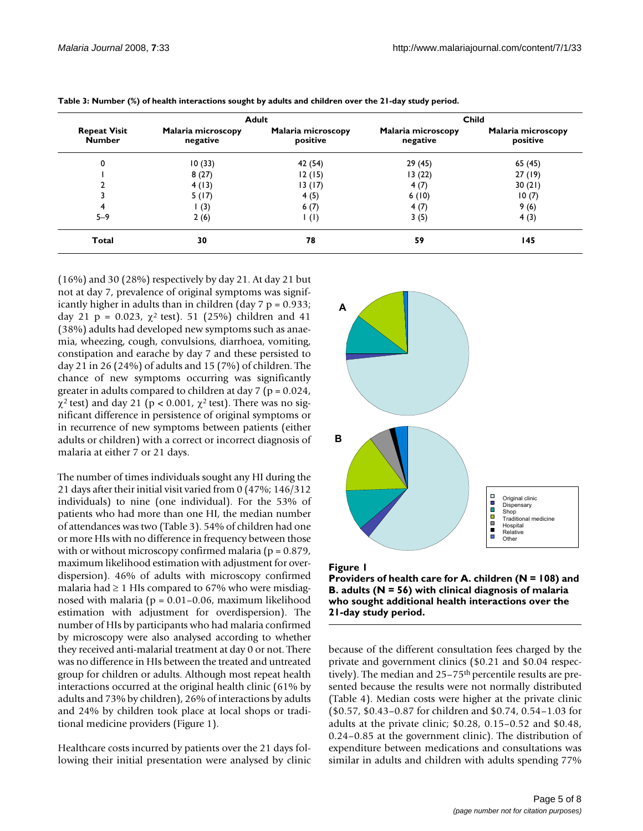|                                      |                                | <b>Adult</b>                   | <b>Child</b>                   |                                |  |  |
|--------------------------------------|--------------------------------|--------------------------------|--------------------------------|--------------------------------|--|--|
| <b>Repeat Visit</b><br><b>Number</b> | Malaria microscopy<br>negative | Malaria microscopy<br>positive | Malaria microscopy<br>negative | Malaria microscopy<br>positive |  |  |
| 0                                    | 10(33)                         | 42 (54)                        | 29(45)                         | 65(45)                         |  |  |
|                                      | 8(27)                          | 12(15)                         | 13(22)                         | 27(19)                         |  |  |
| C.                                   | 4(13)                          | 13(17)                         | 4(7)                           | 30(21)                         |  |  |
|                                      | 5(17)                          | 4(5)                           | 6(10)                          | 10(7)                          |  |  |
| 4                                    | $\vert$ (3)                    | 6(7)                           | 4(7)                           | 9(6)                           |  |  |
| $5 - 9$                              | 2(6)                           | $\mathsf{I}(\mathsf{I})$       | 3(5)                           | 4(3)                           |  |  |
| Total                                | 30                             | 78                             | 59                             | 145                            |  |  |

**Table 3: Number (%) of health interactions sought by adults and children over the 21-day study period.**

(16%) and 30 (28%) respectively by day 21. At day 21 but not at day 7, prevalence of original symptoms was significantly higher in adults than in children (day  $7 p = 0.933$ ; day 21 p = 0.023,  $\chi^2$  test). 51 (25%) children and 41 (38%) adults had developed new symptoms such as anaemia, wheezing, cough, convulsions, diarrhoea, vomiting, constipation and earache by day 7 and these persisted to day 21 in 26 (24%) of adults and 15 (7%) of children. The chance of new symptoms occurring was significantly greater in adults compared to children at day 7 ( $p = 0.024$ ,  $\chi^2$  test) and day 21 (p < 0.001,  $\chi^2$  test). There was no significant difference in persistence of original symptoms or in recurrence of new symptoms between patients (either adults or children) with a correct or incorrect diagnosis of malaria at either 7 or 21 days.

The number of times individuals sought any HI during the 21 days after their initial visit varied from 0 (47%; 146/312 individuals) to nine (one individual). For the 53% of patients who had more than one HI, the median number of attendances was two (Table 3). 54% of children had one or more HIs with no difference in frequency between those with or without microscopy confirmed malaria ( $p = 0.879$ , maximum likelihood estimation with adjustment for overdispersion). 46% of adults with microscopy confirmed malaria had  $\geq 1$  HIs compared to 67% who were misdiagnosed with malaria ( $p = 0.01-0.06$ , maximum likelihood estimation with adjustment for overdispersion). The number of HIs by participants who had malaria confirmed by microscopy were also analysed according to whether they received anti-malarial treatment at day 0 or not. There was no difference in HIs between the treated and untreated group for children or adults. Although most repeat health interactions occurred at the original health clinic (61% by adults and 73% by children), 26% of interactions by adults and 24% by children took place at local shops or traditional medicine providers (Figure 1).

Healthcare costs incurred by patients over the 21 days following their initial presentation were analysed by clinic





because of the different consultation fees charged by the private and government clinics (\$0.21 and \$0.04 respectively). The median and  $25-75$ <sup>th</sup> percentile results are presented because the results were not normally distributed (Table 4). Median costs were higher at the private clinic (\$0.57, \$0.43–0.87 for children and \$0.74, 0.54–1.03 for adults at the private clinic; \$0.28, 0.15–0.52 and \$0.48, 0.24–0.85 at the government clinic). The distribution of expenditure between medications and consultations was similar in adults and children with adults spending 77%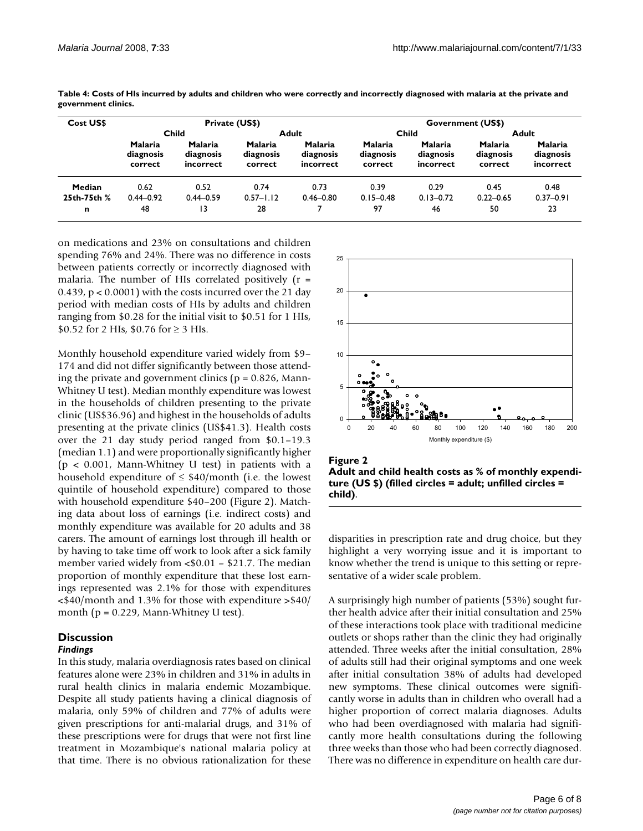| <b>Cost US\$</b>             | Private (US\$)                         |                                          |                                 |                                          | Government (US\$)               |                                   |                                        |                                          |
|------------------------------|----------------------------------------|------------------------------------------|---------------------------------|------------------------------------------|---------------------------------|-----------------------------------|----------------------------------------|------------------------------------------|
|                              | <b>Child</b>                           |                                          | Adult                           |                                          | <b>Child</b>                    |                                   | <b>Adult</b>                           |                                          |
|                              | <b>Malaria</b><br>diagnosis<br>correct | <b>Malaria</b><br>diagnosis<br>incorrect | Malaria<br>diagnosis<br>correct | <b>Malaria</b><br>diagnosis<br>incorrect | Malaria<br>diagnosis<br>correct | Malaria<br>diagnosis<br>incorrect | <b>Malaria</b><br>diagnosis<br>correct | <b>Malaria</b><br>diagnosis<br>incorrect |
| <b>Median</b><br>25th-75th % | 0.62<br>$0.44 - 0.92$                  | 0.52<br>$0.44 - 0.59$                    | 0.74<br>$0.57 - 1.12$           | 0.73<br>$0.46 - 0.80$                    | 0.39<br>$0.15 - 0.48$           | 0.29<br>$0.13 - 0.72$             | 0.45<br>$0.22 - 0.65$                  | 0.48<br>$0.37 - 0.91$                    |
| n                            | 48                                     | 13                                       | 28                              |                                          | 97                              | 46                                | 50                                     | 23                                       |

**Table 4: Costs of HIs incurred by adults and children who were correctly and incorrectly diagnosed with malaria at the private and government clinics.**

on medications and 23% on consultations and children spending 76% and 24%. There was no difference in costs between patients correctly or incorrectly diagnosed with malaria. The number of HIs correlated positively  $(r =$ 0.439,  $p < 0.0001$ ) with the costs incurred over the 21 day period with median costs of HIs by adults and children ranging from \$0.28 for the initial visit to \$0.51 for 1 HIs, \$0.52 for 2 HIs, \$0.76 for ≥ 3 HIs.

Monthly household expenditure varied widely from \$9– 174 and did not differ significantly between those attending the private and government clinics ( $p = 0.826$ , Mann-Whitney U test). Median monthly expenditure was lowest in the households of children presenting to the private clinic (US\$36.96) and highest in the households of adults presenting at the private clinics (US\$41.3). Health costs over the 21 day study period ranged from \$0.1–19.3 (median 1.1) and were proportionally significantly higher  $(p < 0.001$ , Mann-Whitney U test) in patients with a household expenditure of  $\leq$  \$40/month (i.e. the lowest quintile of household expenditure) compared to those with household expenditure \$40–200 (Figure 2). Matching data about loss of earnings (i.e. indirect costs) and monthly expenditure was available for 20 adults and 38 carers. The amount of earnings lost through ill health or by having to take time off work to look after a sick family member varied widely from <\$0.01 – \$21.7. The median proportion of monthly expenditure that these lost earnings represented was 2.1% for those with expenditures <\$40/month and 1.3% for those with expenditure >\$40/ month (p = 0.229, Mann-Whitney U test).

#### **Discussion** *Findings*

In this study, malaria overdiagnosis rates based on clinical features alone were 23% in children and 31% in adults in rural health clinics in malaria endemic Mozambique. Despite all study patients having a clinical diagnosis of malaria, only 59% of children and 77% of adults were given prescriptions for anti-malarial drugs, and 31% of these prescriptions were for drugs that were not first line treatment in Mozambique's national malaria policy at that time. There is no obvious rationalization for these





disparities in prescription rate and drug choice, but they highlight a very worrying issue and it is important to know whether the trend is unique to this setting or representative of a wider scale problem.

A surprisingly high number of patients (53%) sought further health advice after their initial consultation and 25% of these interactions took place with traditional medicine outlets or shops rather than the clinic they had originally attended. Three weeks after the initial consultation, 28% of adults still had their original symptoms and one week after initial consultation 38% of adults had developed new symptoms. These clinical outcomes were significantly worse in adults than in children who overall had a higher proportion of correct malaria diagnoses. Adults who had been overdiagnosed with malaria had significantly more health consultations during the following three weeks than those who had been correctly diagnosed. There was no difference in expenditure on health care dur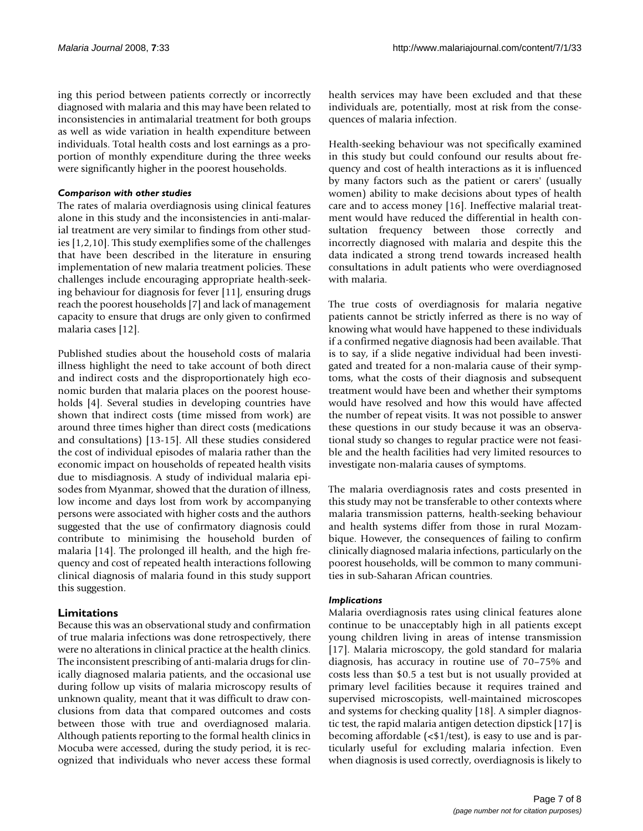ing this period between patients correctly or incorrectly diagnosed with malaria and this may have been related to inconsistencies in antimalarial treatment for both groups as well as wide variation in health expenditure between individuals. Total health costs and lost earnings as a proportion of monthly expenditure during the three weeks were significantly higher in the poorest households.

#### *Comparison with other studies*

The rates of malaria overdiagnosis using clinical features alone in this study and the inconsistencies in anti-malarial treatment are very similar to findings from other studies [1,2,10]. This study exemplifies some of the challenges that have been described in the literature in ensuring implementation of new malaria treatment policies. These challenges include encouraging appropriate health-seeking behaviour for diagnosis for fever [11], ensuring drugs reach the poorest households [7] and lack of management capacity to ensure that drugs are only given to confirmed malaria cases [12].

Published studies about the household costs of malaria illness highlight the need to take account of both direct and indirect costs and the disproportionately high economic burden that malaria places on the poorest households [4]. Several studies in developing countries have shown that indirect costs (time missed from work) are around three times higher than direct costs (medications and consultations) [13-15]. All these studies considered the cost of individual episodes of malaria rather than the economic impact on households of repeated health visits due to misdiagnosis. A study of individual malaria episodes from Myanmar, showed that the duration of illness, low income and days lost from work by accompanying persons were associated with higher costs and the authors suggested that the use of confirmatory diagnosis could contribute to minimising the household burden of malaria [14]. The prolonged ill health, and the high frequency and cost of repeated health interactions following clinical diagnosis of malaria found in this study support this suggestion.

### **Limitations**

Because this was an observational study and confirmation of true malaria infections was done retrospectively, there were no alterations in clinical practice at the health clinics. The inconsistent prescribing of anti-malaria drugs for clinically diagnosed malaria patients, and the occasional use during follow up visits of malaria microscopy results of unknown quality, meant that it was difficult to draw conclusions from data that compared outcomes and costs between those with true and overdiagnosed malaria. Although patients reporting to the formal health clinics in Mocuba were accessed, during the study period, it is recognized that individuals who never access these formal

health services may have been excluded and that these individuals are, potentially, most at risk from the consequences of malaria infection.

Health-seeking behaviour was not specifically examined in this study but could confound our results about frequency and cost of health interactions as it is influenced by many factors such as the patient or carers' (usually women) ability to make decisions about types of health care and to access money [16]. Ineffective malarial treatment would have reduced the differential in health consultation frequency between those correctly and incorrectly diagnosed with malaria and despite this the data indicated a strong trend towards increased health consultations in adult patients who were overdiagnosed with malaria.

The true costs of overdiagnosis for malaria negative patients cannot be strictly inferred as there is no way of knowing what would have happened to these individuals if a confirmed negative diagnosis had been available. That is to say, if a slide negative individual had been investigated and treated for a non-malaria cause of their symptoms, what the costs of their diagnosis and subsequent treatment would have been and whether their symptoms would have resolved and how this would have affected the number of repeat visits. It was not possible to answer these questions in our study because it was an observational study so changes to regular practice were not feasible and the health facilities had very limited resources to investigate non-malaria causes of symptoms.

The malaria overdiagnosis rates and costs presented in this study may not be transferable to other contexts where malaria transmission patterns, health-seeking behaviour and health systems differ from those in rural Mozambique. However, the consequences of failing to confirm clinically diagnosed malaria infections, particularly on the poorest households, will be common to many communities in sub-Saharan African countries.

#### *Implications*

Malaria overdiagnosis rates using clinical features alone continue to be unacceptably high in all patients except young children living in areas of intense transmission [17]. Malaria microscopy, the gold standard for malaria diagnosis, has accuracy in routine use of 70–75% and costs less than \$0.5 a test but is not usually provided at primary level facilities because it requires trained and supervised microscopists, well-maintained microscopes and systems for checking quality [18]. A simpler diagnostic test, the rapid malaria antigen detection dipstick [17] is becoming affordable (<\$1/test), is easy to use and is particularly useful for excluding malaria infection. Even when diagnosis is used correctly, overdiagnosis is likely to